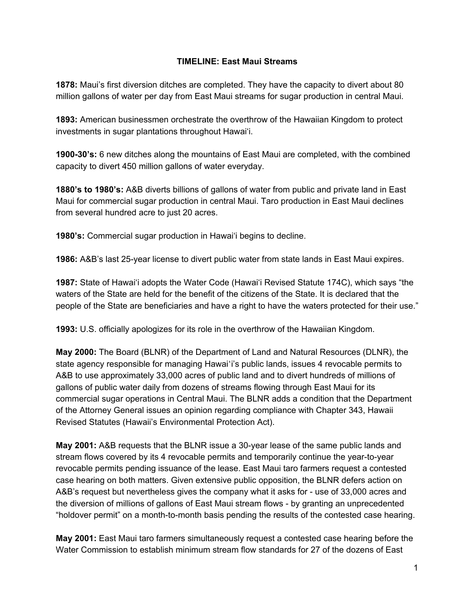## **TIMELINE: East Maui Streams**

**1878:** Maui's first diversion ditches are completed. They have the capacity to divert about 80 million gallons of water per day from East Maui streams for sugar production in central Maui.

**1893:** American businessmen orchestrate the overthrow of the Hawaiian Kingdom to protect investments in sugar plantations throughout Hawai'i.

**1900-30's:** 6 new ditches along the mountains of East Maui are completed, with the combined capacity to divert 450 million gallons of water everyday.

**1880's to 1980's:** A&B diverts billions of gallons of water from public and private land in East Maui for commercial sugar production in central Maui. Taro production in East Maui declines from several hundred acre to just 20 acres.

**1980's:** Commercial sugar production in Hawai'i begins to decline.

**1986:** A&B's last 25-year license to divert public water from state lands in East Maui expires.

**1987:** State of Hawai'i adopts the Water Code (Hawai'i Revised Statute 174C), which says "the waters of the State are held for the benefit of the citizens of the State. It is declared that the people of the State are beneficiaries and have a right to have the waters protected for their use."

**1993:** U.S. officially apologizes for its role in the overthrow of the Hawaiian Kingdom.

**May 2000:** The Board (BLNR) of the Department of Land and Natural Resources (DLNR), the state agency responsible for managing Hawaiʻi's public lands, issues 4 revocable permits to A&B to use approximately 33,000 acres of public land and to divert hundreds of millions of gallons of public water daily from dozens of streams flowing through East Maui for its commercial sugar operations in Central Maui. The BLNR adds a condition that the Department of the Attorney General issues an opinion regarding compliance with Chapter 343, Hawaii Revised Statutes (Hawaii's Environmental Protection Act).

**May 2001:** A&B requests that the BLNR issue a 30-year lease of the same public lands and stream flows covered by its 4 revocable permits and temporarily continue the year-to-year revocable permits pending issuance of the lease. East Maui taro farmers request a contested case hearing on both matters. Given extensive public opposition, the BLNR defers action on A&B's request but nevertheless gives the company what it asks for - use of 33,000 acres and the diversion of millions of gallons of East Maui stream flows - by granting an unprecedented "holdover permit" on a month-to-month basis pending the results of the contested case hearing.

**May 2001:** East Maui taro farmers simultaneously request a contested case hearing before the Water Commission to establish minimum stream flow standards for 27 of the dozens of East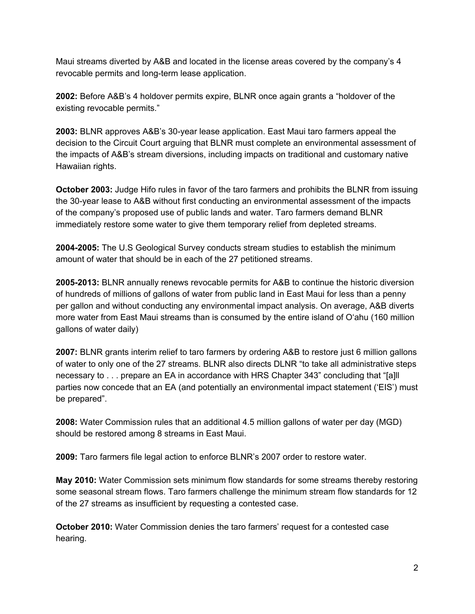Maui streams diverted by A&B and located in the license areas covered by the company's 4 revocable permits and long-term lease application.

**2002:** Before A&B's 4 holdover permits expire, BLNR once again grants a "holdover of the existing revocable permits."

**2003:** BLNR approves A&B's 30-year lease application. East Maui taro farmers appeal the decision to the Circuit Court arguing that BLNR must complete an environmental assessment of the impacts of A&B's stream diversions, including impacts on traditional and customary native Hawaiian rights.

**October 2003:** Judge Hifo rules in favor of the taro farmers and prohibits the BLNR from issuing the 30-year lease to A&B without first conducting an environmental assessment of the impacts of the company's proposed use of public lands and water. Taro farmers demand BLNR immediately restore some water to give them temporary relief from depleted streams.

**2004-2005:** The U.S Geological Survey conducts stream studies to establish the minimum amount of water that should be in each of the 27 petitioned streams.

**2005-2013:** BLNR annually renews revocable permits for A&B to continue the historic diversion of hundreds of millions of gallons of water from public land in East Maui for less than a penny per gallon and without conducting any environmental impact analysis. On average, A&B diverts more water from East Maui streams than is consumed by the entire island of O'ahu (160 million gallons of water daily)

**2007:** BLNR grants interim relief to taro farmers by ordering A&B to restore just 6 million gallons of water to only one of the 27 streams. BLNR also directs DLNR "to take all administrative steps necessary to . . . prepare an EA in accordance with HRS Chapter 343" concluding that "[a]ll parties now concede that an EA (and potentially an environmental impact statement ('EIS') must be prepared".

**2008:** Water Commission rules that an additional 4.5 million gallons of water per day (MGD) should be restored among 8 streams in East Maui.

**2009:** Taro farmers file legal action to enforce BLNR's 2007 order to restore water.

**May 2010:** Water Commission sets minimum flow standards for some streams thereby restoring some seasonal stream flows. Taro farmers challenge the minimum stream flow standards for 12 of the 27 streams as insufficient by requesting a contested case.

**October 2010:** Water Commission denies the taro farmers' request for a contested case hearing.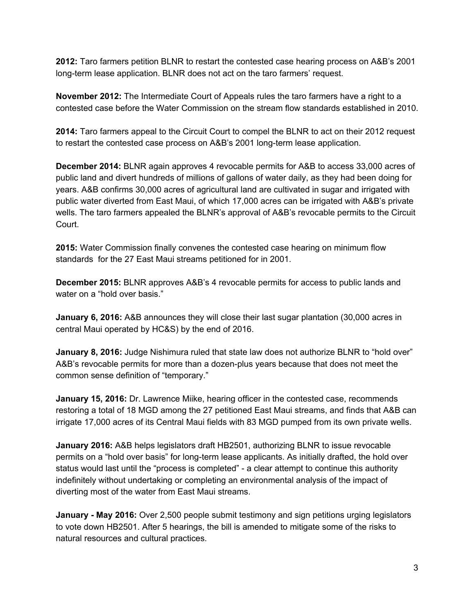**2012:** Taro farmers petition BLNR to restart the contested case hearing process on A&B's 2001 long-term lease application. BLNR does not act on the taro farmers' request.

**November 2012:** The Intermediate Court of Appeals rules the taro farmers have a right to a contested case before the Water Commission on the stream flow standards established in 2010.

**2014:** Taro farmers appeal to the Circuit Court to compel the BLNR to act on their 2012 request to restart the contested case process on A&B's 2001 long-term lease application.

**December 2014:** BLNR again approves 4 revocable permits for A&B to access 33,000 acres of public land and divert hundreds of millions of gallons of water daily, as they had been doing for years. A&B confirms 30,000 acres of agricultural land are cultivated in sugar and irrigated with public water diverted from East Maui, of which 17,000 acres can be irrigated with A&B's private wells. The taro farmers appealed the BLNR's approval of A&B's revocable permits to the Circuit Court.

**2015:** Water Commission finally convenes the contested case hearing on minimum flow standards for the 27 East Maui streams petitioned for in 2001.

**December 2015:** BLNR approves A&B's 4 revocable permits for access to public lands and water on a "hold over basis."

**January 6, 2016:** A&B announces they will close their last sugar plantation (30,000 acres in central Maui operated by HC&S) by the end of 2016.

**January 8, 2016:** Judge Nishimura ruled that state law does not authorize BLNR to "hold over" A&B's revocable permits for more than a dozen-plus years because that does not meet the common sense definition of "temporary."

**January 15, 2016:** Dr. Lawrence Miike, hearing officer in the contested case, recommends restoring a total of 18 MGD among the 27 petitioned East Maui streams, and finds that A&B can irrigate 17,000 acres of its Central Maui fields with 83 MGD pumped from its own private wells.

**January 2016:** A&B helps legislators draft HB2501, authorizing BLNR to issue revocable permits on a "hold over basis" for long-term lease applicants. As initially drafted, the hold over status would last until the "process is completed" - a clear attempt to continue this authority indefinitely without undertaking or completing an environmental analysis of the impact of diverting most of the water from East Maui streams.

**January - May 2016:** Over 2,500 people submit testimony and sign petitions urging legislators to vote down HB2501. After 5 hearings, the bill is amended to mitigate some of the risks to natural resources and cultural practices.